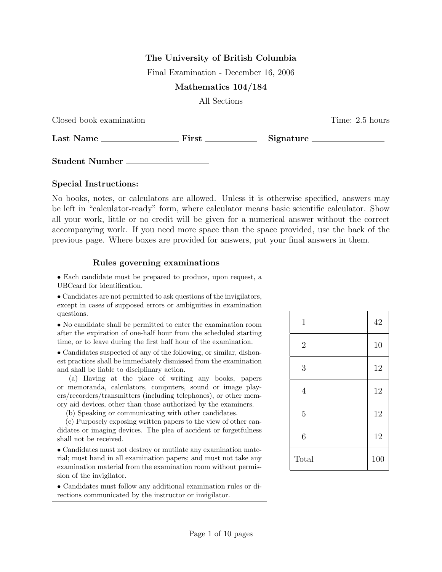## The University of British Columbia

Final Examination - December 16, 2006

## Mathematics 104/184

All Sections

|  |  | Closed book examination |
|--|--|-------------------------|
|--|--|-------------------------|

Time: 2.5 hours

Last Name First Signature

Student Number

## Special Instructions:

No books, notes, or calculators are allowed. Unless it is otherwise specified, answers may be left in "calculator-ready" form, where calculator means basic scientific calculator. Show all your work, little or no credit will be given for a numerical answer without the correct accompanying work. If you need more space than the space provided, use the back of the previous page. Where boxes are provided for answers, put your final answers in them.

## Rules governing examinations

• Each candidate must be prepared to produce, upon request, a UBCcard for identification.

• Candidates are not permitted to ask questions of the invigilators, except in cases of supposed errors or ambiguities in examination questions.

• No candidate shall be permitted to enter the examination room after the expiration of one-half hour from the scheduled starting time, or to leave during the first half hour of the examination.

• Candidates suspected of any of the following, or similar, dishonest practices shall be immediately dismissed from the examination and shall be liable to disciplinary action.

(a) Having at the place of writing any books, papers or memoranda, calculators, computers, sound or image players/recorders/transmitters (including telephones), or other memory aid devices, other than those authorized by the examiners.

(b) Speaking or communicating with other candidates.

(c) Purposely exposing written papers to the view of other candidates or imaging devices. The plea of accident or forgetfulness shall not be received.

• Candidates must not destroy or mutilate any examination material; must hand in all examination papers; and must not take any examination material from the examination room without permission of the invigilator.

• Candidates must follow any additional examination rules or directions communicated by the instructor or invigilator.

| $\mathbf 1$      | 42  |
|------------------|-----|
| $\overline{2}$   | 10  |
| 3                | 12  |
| $\overline{4}$   | 12  |
| $\overline{5}$   | 12  |
| $\boldsymbol{6}$ | 12  |
| Total            | 100 |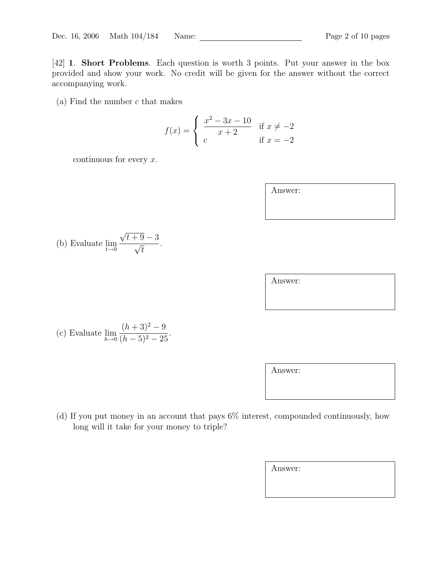[42] 1. Short Problems. Each question is worth 3 points. Put your answer in the box provided and show your work. No credit will be given for the answer without the correct accompanying work.

(a) Find the number  $c$  that makes

$$
f(x) = \begin{cases} \frac{x^2 - 3x - 10}{x + 2} & \text{if } x \neq -2 \\ c & \text{if } x = -2 \end{cases}
$$

continuous for every  $x$ .

| Answer: |  |  |
|---------|--|--|
|         |  |  |
|         |  |  |

| (b) Evaluate $\lim_{t\to 0} \frac{v}{t}$ . |  | $\sqrt{t+9}-3$ |
|--------------------------------------------|--|----------------|
|                                            |  | $\sqrt{t}$     |

(c) Evaluate  $\lim_{h\to 0}$  $(h+3)^2-9$  $\frac{(h+9)}{(h-5)^2-25}.$ 

Answer:

(d) If you put money in an account that pays 6% interest, compounded continuously, how long will it take for your money to triple?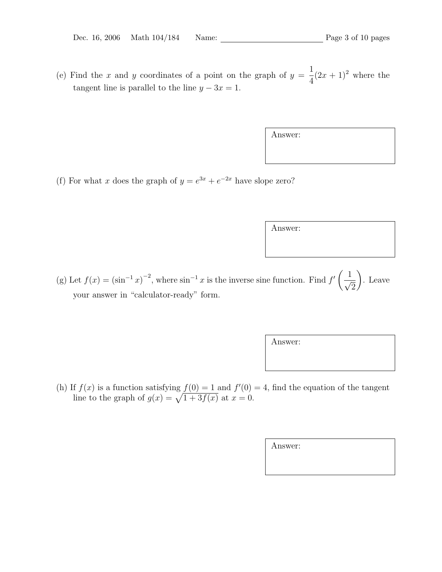(e) Find the x and y coordinates of a point on the graph of  $y =$ 1 4  $(2x+1)^2$  where the tangent line is parallel to the line  $y - 3x = 1$ .

|  | (f) For what x does the graph of $y = e^{3x} + e^{-2x}$ have slope zero? |  |
|--|--------------------------------------------------------------------------|--|

Answer:

Answer:

(g) Let  $f(x) = (\sin^{-1} x)^{-2}$ , where  $\sin^{-1} x$  is the inverse sine function. Find  $f'$  $\overline{a}$  $\frac{1}{\sqrt{2}}$ 2  $\mathbf{r}$ . Leave your answer in "calculator-ready" form.

| $\eta$ ration optic friend $f(0) = 1$ and $f'(0) = 1$ find the equation of the tengent |  |  |  |  |
|----------------------------------------------------------------------------------------|--|--|--|--|

(h) If  $f(x)$  is a function satisfying  $f(0) = 1$  and  $f'(0) = 4$ , find the equation of the tangent line to the graph of  $g(x) = \sqrt{1 + 3f(x)}$  at  $x = 0$ .

Answer: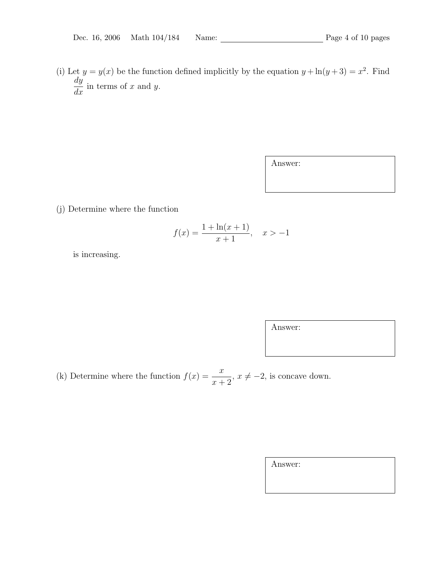(i) Let  $y = y(x)$  be the function defined implicitly by the equation  $y + \ln(y+3) = x^2$ . Find dy  $\frac{dy}{dx}$  in terms of x and y.

Answer:

(j) Determine where the function

$$
f(x) = \frac{1 + \ln(x + 1)}{x + 1}, \quad x > -1
$$

is increasing.

Answer:

(k) Determine where the function  $f(x) = \frac{x}{x}$  $x + 2$  $, x \neq -2$ , is concave down.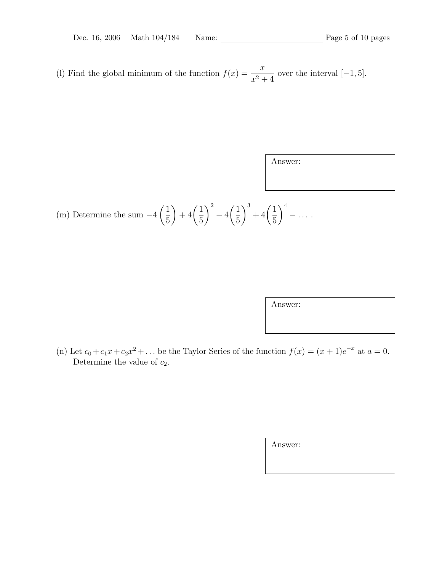(l) Find the global minimum of the function  $f(x) = \frac{x}{2}$  $\frac{x}{x^2+4}$  over the interval [-1, 5].

Answer:

(m) Determine the sum 
$$
-4\left(\frac{1}{5}\right) + 4\left(\frac{1}{5}\right)^2 - 4\left(\frac{1}{5}\right)^3 + 4\left(\frac{1}{5}\right)^4 - \dots
$$

Answer:

(n) Let  $c_0 + c_1x + c_2x^2 + ...$  be the Taylor Series of the function  $f(x) = (x+1)e^{-x}$  at  $a = 0$ . Determine the value of  $c_2$ .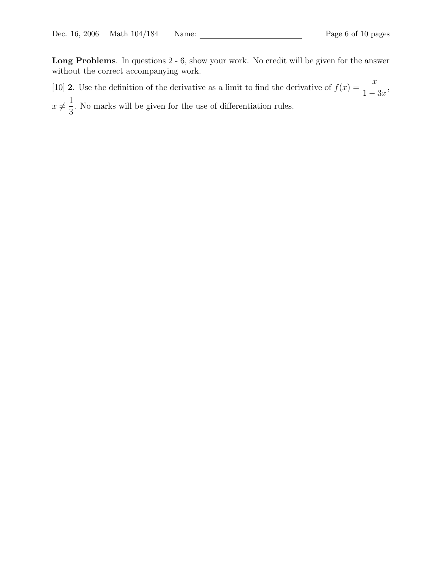Long Problems. In questions 2 - 6, show your work. No credit will be given for the answer without the correct accompanying work.

[10] **2**. Use the definition of the derivative as a limit to find the derivative of  $f(x) = \frac{x}{1+x^2}$  $1 - 3x$ ,  $x \neq$ 1 3 . No marks will be given for the use of differentiation rules.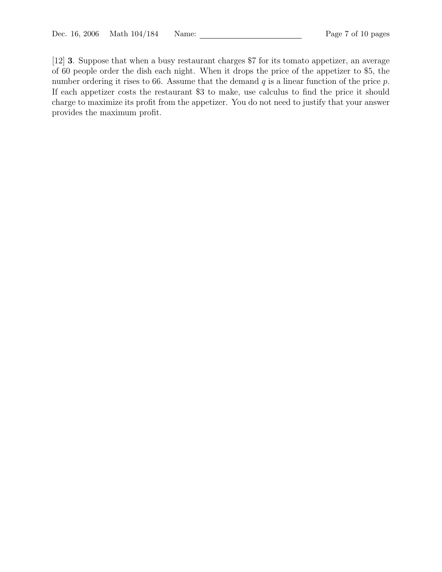[12] 3. Suppose that when a busy restaurant charges \$7 for its tomato appetizer, an average of 60 people order the dish each night. When it drops the price of the appetizer to \$5, the number ordering it rises to 66. Assume that the demand  $q$  is a linear function of the price  $p$ . If each appetizer costs the restaurant \$3 to make, use calculus to find the price it should charge to maximize its profit from the appetizer. You do not need to justify that your answer provides the maximum profit.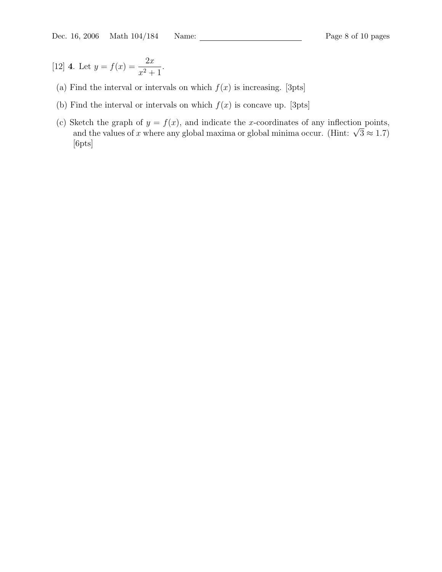[12] **4.** Let  $y = f(x) = \frac{2x}{x}$  $\frac{2x}{x^2+1}.$ 

- (a) Find the interval or intervals on which  $f(x)$  is increasing. [3pts]
- (b) Find the interval or intervals on which  $f(x)$  is concave up. [3pts]
- (c) Sketch the graph of  $y = f(x)$ , and indicate the x-coordinates of any inflection points, where the graph of  $y = f(x)$ , and indicate the x-coordinates of any inflection points,<br>and the values of x where any global maxima or global minima occur. (Hint:  $\sqrt{3} \approx 1.7$ ) [6pts]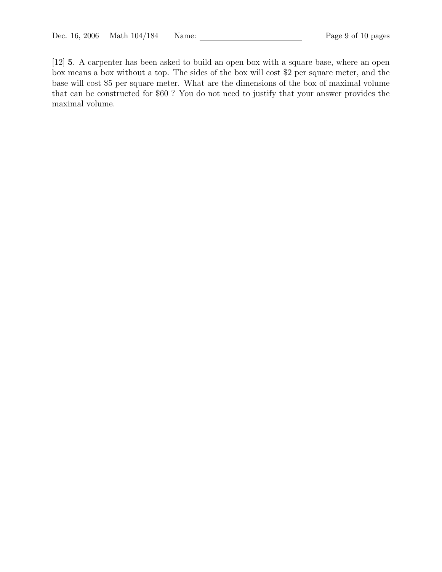[12] 5. A carpenter has been asked to build an open box with a square base, where an open box means a box without a top. The sides of the box will cost \$2 per square meter, and the base will cost \$5 per square meter. What are the dimensions of the box of maximal volume that can be constructed for \$60 ? You do not need to justify that your answer provides the maximal volume.